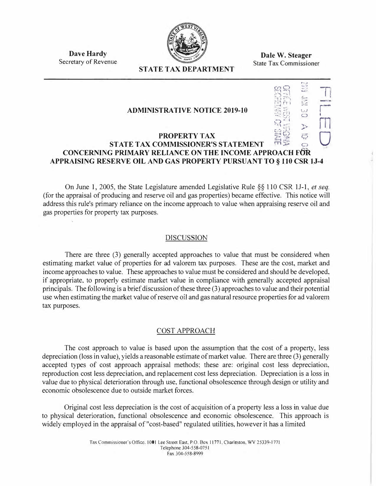

**Dale W. Steager**  State Tax Commissioner

> l, .  $T$  ;  $T$ :1:.)1. 1

> $-$

*,-�.,*   $R S = \frac{1}{2}$  $\mathbb{R}$ ,  $\mathbb{R}$  ,  $\mathbb{R}$ 

 $:$ 

 $\mathbb{R}$   $\mathbb{Z}$   $\circ$   $\cdot$   $\cdot$ 

**Dave Hardy**  Secretary of Revenue

# **STATE TAX DEPARTMENT**

#### **ADMINISTRATIVE NOTICE 2019-10**

# $\begin{array}{c} \mathbb{R}^{32} \ \mathbb{R}^{33} \ \mathbb{R}^{33} \ \mathbb{R}^{33} \ \mathbb{R}^{33} \ \mathbb{R}^{33} \ \mathbb{R}^{33} \ \mathbb{R}^{33} \ \mathbb{R}^{33} \ \mathbb{R}^{33} \ \mathbb{R}^{33} \end{array}$ **STATE TAX COMMISSIONER'S STATEMENT CONCERNING PRIMARY RELIANCE ON THE INCOME APPROACH FOR APPRAISING RESERVE OIL AND GAS PROPERTY PURSUANT TO § 110 CSR tJ-4**

On June 1, 2005, the State Legislature amended Legislative Rule *§§* 110 CSR 11-1, *et seq.*  (for the appraisal of producing and reserve oil and gas properties) became effective. This notice will address this rule's primary reliance on the income approach to value when appraising reserve oil and gas properties for property tax purposes.

#### DISCUSSION

There are three (3) generally accepted approaches to value that must be considered when estimating market value of properties for ad valorem tax purposes. These are the cost, market and income approaches to value. These approaches to value must be considered and should be developed, if appropriate, to properly estimate market value in compliance with generally accepted appraisal principals. The following is a brief discussion of these three (3) approaches to value and their potential use when estimating the market value of reserve oil and gas natural resource properties for ad valorem tax purposes.

# COST APPROACH

The cost approach to value is based upon the assumption that the cost of a property, less depreciation (loss in value), yields a reasonable estimate of market value. There are three (3) generally accepted types of cost approach appraisal methods; these are: original cost less depreciation, reproduction cost less depreciation, and replacement cost less depreciation. Depreciation is a loss in value due to physical deterioration through use, functional obsolescence through design or utility and economic obsolescence due to outside market forces.

Original cost less depreciation is the cost of acquisition of a property less a loss in value due to physical deterioration, functional obsolescence and economic obsolescence. This approach is widely employed in the appraisal of "cost-based" regulated utilities, however it has a limited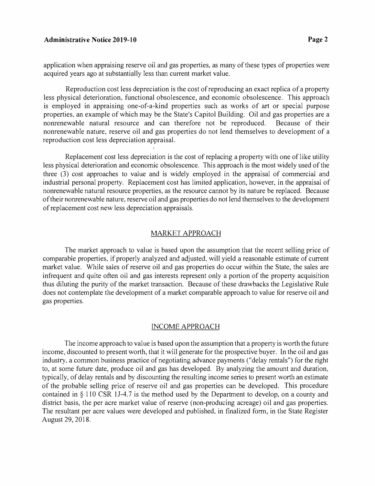#### **Administrative Notice 2019-10 Page2**

application when appraising reserve oil and gas properties, as many of these types of properties were acquired years ago at substantially less than current market value.

Reproduction cost less depreciation is the cost of reproducing an exact replica of a property less physical deterioration, functional obsolescence, and economic obsolescence. This approach is employed in appraising one-of-a-kind properties such as works of art or special purpose properties, an example of which may be the State's Capitol Building. Oil and gas properties are a nonrenewable natural resource and can therefore not be reproduced. Because of their nonrenewable nature, reserve oil and gas properties do not lend themselves to development of a reproduction cost less depreciation appraisal.

Replacement cost less depreciation is the cost of replacing a property with one of like utility less physical deterioration and economic obsolescence. This approach is the most widely used of the three (3) cost approaches to value and is widely employed in the appraisal of commercial and industrial personal property. Replacement cost has limited application, however, in the appraisal of nonrenewable natural resource properties, as the resource cannot by its nature be replaced. Because of their nonrenewable nature, reserve oil and gas properties do not lend themselves to the development of replacement cost new less depreciation appraisals.

#### MARKET APPROACH

The market approach to value is based upon the assumption that the recent selling price of comparable properties, if properly analyzed and adjusted, will yield a reasonable estimate of current market value. While sales of reserve oil and gas properties do occur within the State, the sales are infrequent and quite often oil and gas interests represent only a portion of the property acquisition thus diluting the purity of the market transaction. Because of these drawbacks the Legislative Rule does not contemplate the development of a market comparable approach to value for reserve oil and gas properties.

#### INCOME APPROACH

The income approach to value is based upon the assumption that a property is worth the future income, discounted to present worth, that it will generate for the prospective buyer. In the oil and gas industry, a common business practice of negotiating advance payments ("delay rentals") for the right to, at some future date, produce oil and gas has developed. By analyzing the amount and duration, typically, of delay rentals and by discounting the resulting income series to present worth an estimate of the probable selling price of reserve oil and gas properties can be developed. This procedure contained in  $\S$  110 CSR 1J-4.7 is the method used by the Department to develop, on a county and district basis, the per acre market value of reserve (non-producing acreage) oil and gas properties. The resultant per acre values were developed and published, in finalized form, in the State Register August 29, 2018.